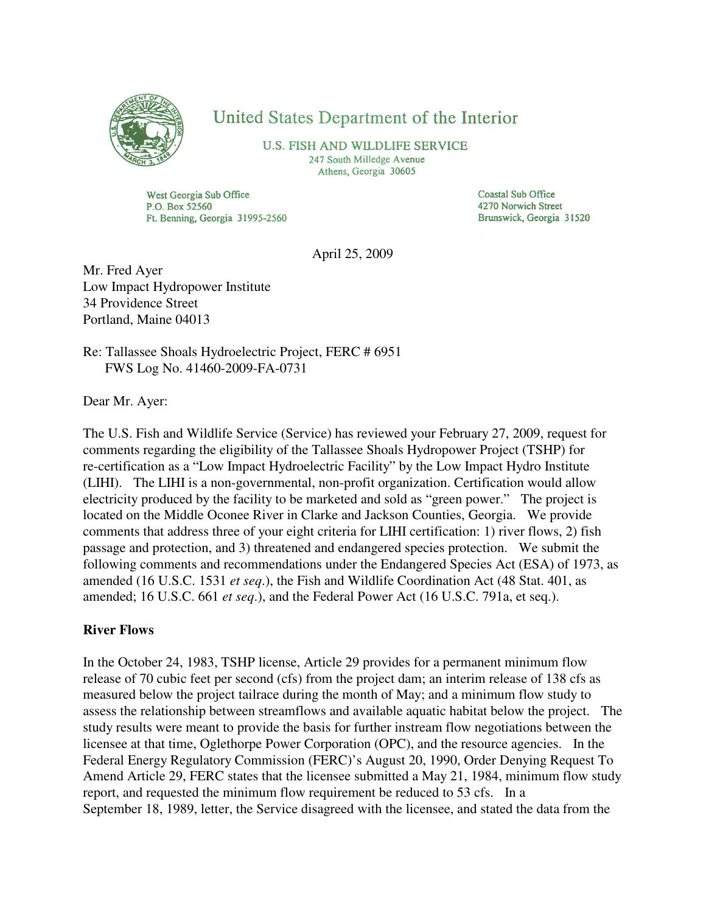

## United States Department of the Interior

**U.S. FISH AND WILDLIFE SERVICE** 247 South Milledge Avenue Athens, Georgia 30605

West Georgia Sub Office P.O. Box 52560 Ft. Benning, Georgia 31995-2560 **Coastal Sub Office** 4270 Norwich Street Brunswick, Georgia 31520

April 25, 2009

Mr. Fred Ayer Low Impact Hydropower Institute 34 Providence Street Portland, Maine 04013

Re: Tallassee Shoals Hydroelectric Project, FERC # 6951 FWS Log No. 41460-2009-FA-0731

Dear Mr. Ayer:

The U.S. Fish and Wildlife Service (Service) has reviewed your February 27, 2009, request for comments regarding the eligibility of the Tallassee Shoals Hydropower Project (TSHP) for re-certification as a "Low Impact Hydroelectric Facility" by the Low Impact Hydro Institute (LIHI). The LIHI is a non-governmental, non-profit organization. Certification would allow electricity produced by the facility to be marketed and sold as "green power." The project is located on the Middle Oconee River in Clarke and Jackson Counties, Georgia. We provide comments that address three of your eight criteria for LIHI certification: 1) river flows, 2) fish passage and protection, and 3) threatened and endangered species protection. We submit the following comments and recommendations under the Endangered Species Act (ESA) of 1973, as amended (16 U.S.C. 1531 *et seq*.), the Fish and Wildlife Coordination Act (48 Stat. 401, as amended; 16 U.S.C. 661 *et seq*.), and the Federal Power Act (16 U.S.C. 791a, et seq.).

## **River Flows**

In the October 24, 1983, TSHP license, Article 29 provides for a permanent minimum flow release of 70 cubic feet per second (cfs) from the project dam; an interim release of 138 cfs as measured below the project tailrace during the month of May; and a minimum flow study to assess the relationship between streamflows and available aquatic habitat below the project. The study results were meant to provide the basis for further instream flow negotiations between the licensee at that time, Oglethorpe Power Corporation (OPC), and the resource agencies. In the Federal Energy Regulatory Commission (FERC)'s August 20, 1990, Order Denying Request To Amend Article 29, FERC states that the licensee submitted a May 21, 1984, minimum flow study report, and requested the minimum flow requirement be reduced to 53 cfs. In a September 18, 1989, letter, the Service disagreed with the licensee, and stated the data from the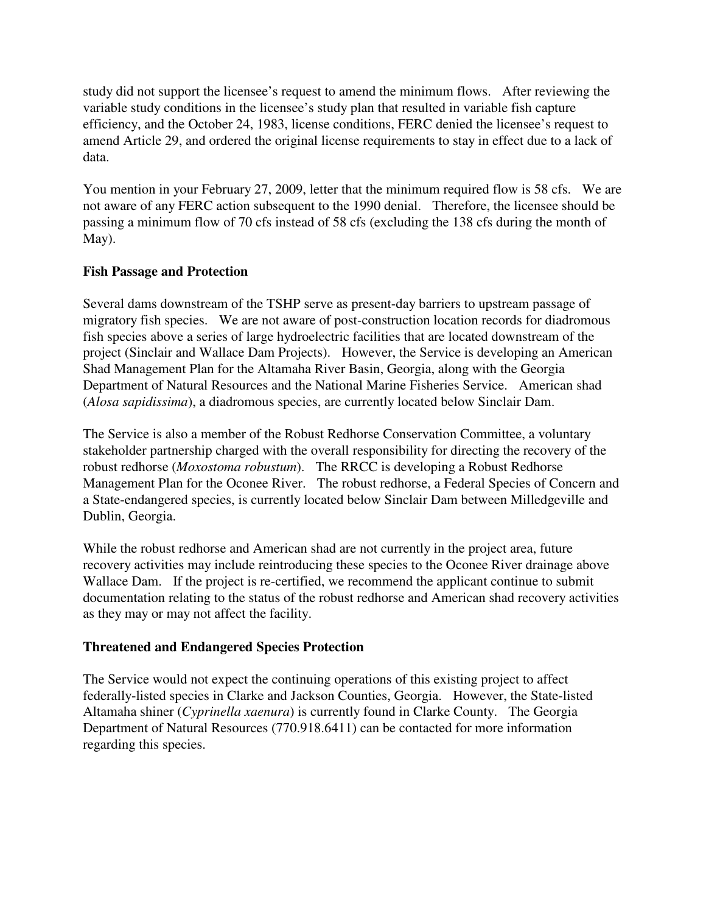study did not support the licensee's request to amend the minimum flows. After reviewing the variable study conditions in the licensee's study plan that resulted in variable fish capture efficiency, and the October 24, 1983, license conditions, FERC denied the licensee's request to amend Article 29, and ordered the original license requirements to stay in effect due to a lack of data.

You mention in your February 27, 2009, letter that the minimum required flow is 58 cfs. We are not aware of any FERC action subsequent to the 1990 denial. Therefore, the licensee should be passing a minimum flow of 70 cfs instead of 58 cfs (excluding the 138 cfs during the month of May).

## **Fish Passage and Protection**

Several dams downstream of the TSHP serve as present-day barriers to upstream passage of migratory fish species. We are not aware of post-construction location records for diadromous fish species above a series of large hydroelectric facilities that are located downstream of the project (Sinclair and Wallace Dam Projects). However, the Service is developing an American Shad Management Plan for the Altamaha River Basin, Georgia, along with the Georgia Department of Natural Resources and the National Marine Fisheries Service. American shad (*Alosa sapidissima*), a diadromous species, are currently located below Sinclair Dam.

The Service is also a member of the Robust Redhorse Conservation Committee, a voluntary stakeholder partnership charged with the overall responsibility for directing the recovery of the robust redhorse (*Moxostoma robustum*). The RRCC is developing a Robust Redhorse Management Plan for the Oconee River. The robust redhorse, a Federal Species of Concern and a State-endangered species, is currently located below Sinclair Dam between Milledgeville and Dublin, Georgia.

While the robust redhorse and American shad are not currently in the project area, future recovery activities may include reintroducing these species to the Oconee River drainage above Wallace Dam. If the project is re-certified, we recommend the applicant continue to submit documentation relating to the status of the robust redhorse and American shad recovery activities as they may or may not affect the facility.

## **Threatened and Endangered Species Protection**

The Service would not expect the continuing operations of this existing project to affect federally-listed species in Clarke and Jackson Counties, Georgia. However, the State-listed Altamaha shiner (*Cyprinella xaenura*) is currently found in Clarke County. The Georgia Department of Natural Resources (770.918.6411) can be contacted for more information regarding this species.